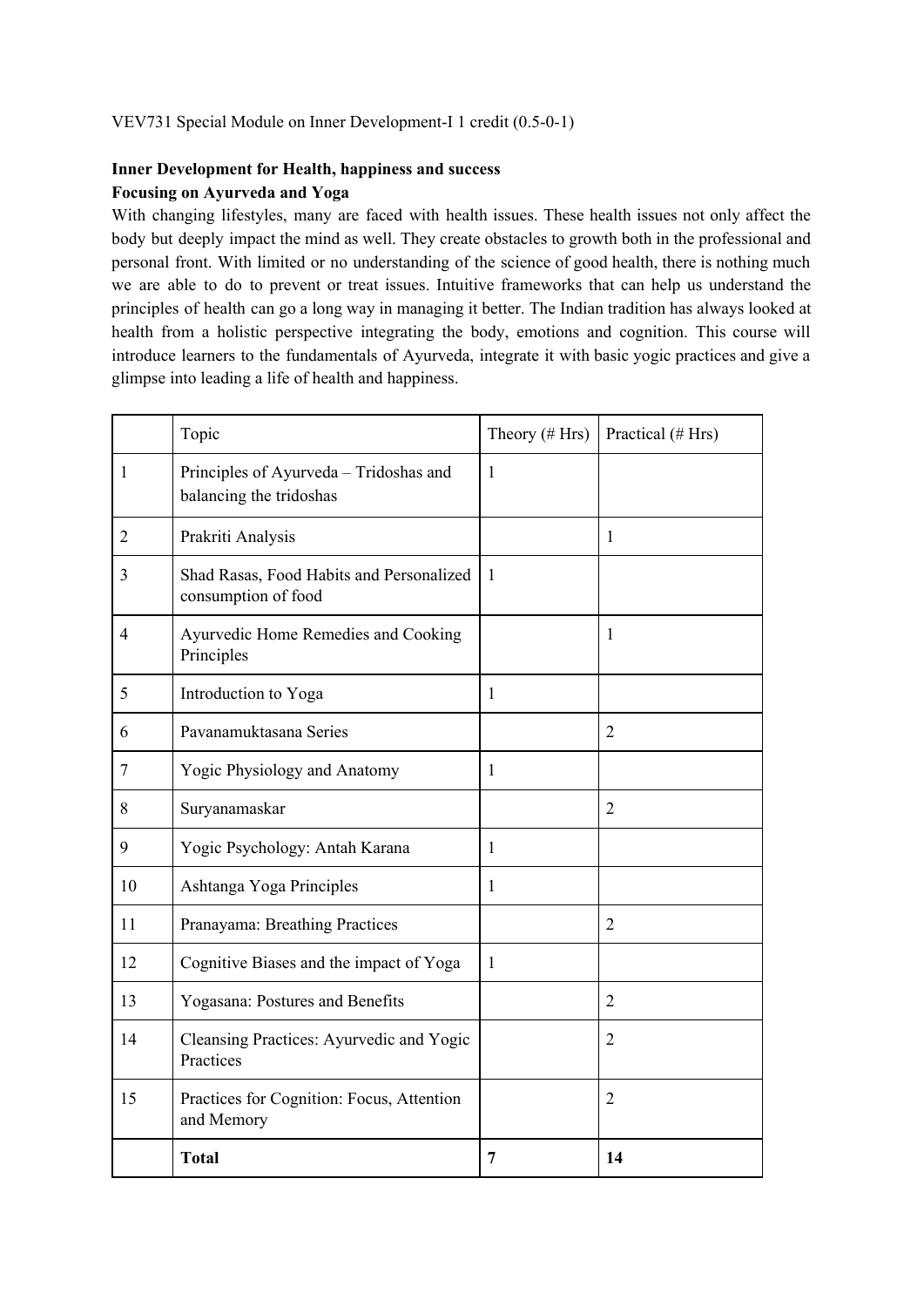## VEV731 Special Module on Inner Development-I 1 credit (0.5-0-1)

## **Inner Development for Health, happiness and success Focusing on Ayurveda and Yoga**

With changing lifestyles, many are faced with health issues. These health issues not only affect the body but deeply impact the mind as well. They create obstacles to growth both in the professional and personal front. With limited or no understanding of the science of good health, there is nothing much we are able to do to prevent or treat issues. Intuitive frameworks that can help us understand the principles of health can go a long way in managing it better. The Indian tradition has always looked at health from a holistic perspective integrating the body, emotions and cognition. This course will introduce learners to the fundamentals of Ayurveda, integrate it with basic yogic practices and give a glimpse into leading a life of health and happiness.

|                | Topic                                                             | Theory $(\# Hrs)$ | Practical (# Hrs) |
|----------------|-------------------------------------------------------------------|-------------------|-------------------|
| 1              | Principles of Ayurveda - Tridoshas and<br>balancing the tridoshas | $\mathbf{1}$      |                   |
| $\overline{2}$ | Prakriti Analysis                                                 |                   | $\mathbf{1}$      |
| 3              | Shad Rasas, Food Habits and Personalized<br>consumption of food   | $\mathbf{1}$      |                   |
| $\overline{4}$ | Ayurvedic Home Remedies and Cooking<br>Principles                 |                   | 1                 |
| 5              | Introduction to Yoga                                              | 1                 |                   |
| 6              | Pavanamuktasana Series                                            |                   | $\overline{2}$    |
| 7              | Yogic Physiology and Anatomy                                      | 1                 |                   |
| 8              | Suryanamaskar                                                     |                   | $\overline{2}$    |
| 9              | Yogic Psychology: Antah Karana                                    | $\mathbf{1}$      |                   |
| 10             | Ashtanga Yoga Principles                                          | 1                 |                   |
| 11             | Pranayama: Breathing Practices                                    |                   | $\overline{2}$    |
| 12             | Cognitive Biases and the impact of Yoga                           | $\mathbf{1}$      |                   |
| 13             | Yogasana: Postures and Benefits                                   |                   | $\overline{2}$    |
| 14             | Cleansing Practices: Ayurvedic and Yogic<br>Practices             |                   | $\overline{2}$    |
| 15             | Practices for Cognition: Focus, Attention<br>and Memory           |                   | $\overline{2}$    |
|                | <b>Total</b>                                                      | $\overline{7}$    | 14                |